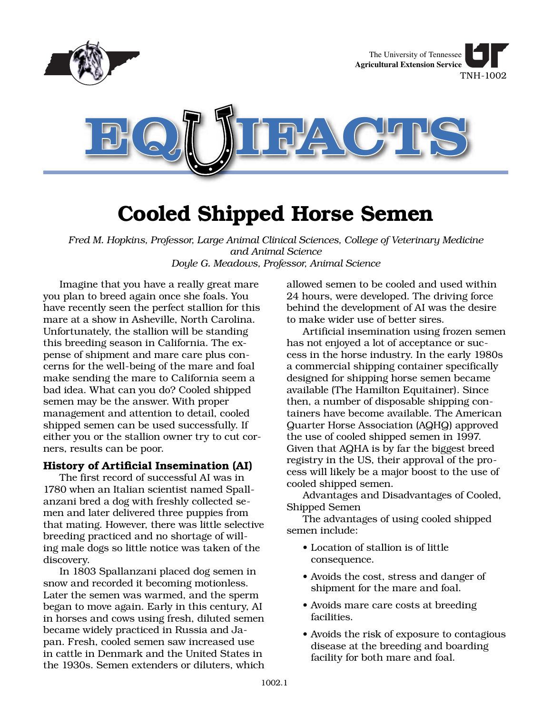

# **Cooled Shipped Horse Semen**

*Fred M. Hopkins, Professor, Large Animal Clinical Sciences, College of Veterinary Medicine and Animal Science Doyle G. Meadows, Professor, Animal Science*

Imagine that you have a really great mare you plan to breed again once she foals. You have recently seen the perfect stallion for this mare at a show in Asheville, North Carolina. Unfortunately, the stallion will be standing this breeding season in California. The expense of shipment and mare care plus concerns for the well-being of the mare and foal make sending the mare to California seem a bad idea. What can you do? Cooled shipped semen may be the answer. With proper management and attention to detail, cooled shipped semen can be used successfully. If either you or the stallion owner try to cut corners, results can be poor.

### **History of Artificial Insemination (AI)**

The first record of successful AI was in 1780 when an Italian scientist named Spallanzani bred a dog with freshly collected semen and later delivered three puppies from that mating. However, there was little selective breeding practiced and no shortage of willing male dogs so little notice was taken of the discovery.

In 1803 Spallanzani placed dog semen in snow and recorded it becoming motionless. Later the semen was warmed, and the sperm began to move again. Early in this century, AI in horses and cows using fresh, diluted semen became widely practiced in Russia and Japan. Fresh, cooled semen saw increased use in cattle in Denmark and the United States in the 1930s. Semen extenders or diluters, which allowed semen to be cooled and used within 24 hours, were developed. The driving force behind the development of AI was the desire to make wider use of better sires.

Artificial insemination using frozen semen has not enjoyed a lot of acceptance or success in the horse industry. In the early 1980s a commercial shipping container specifically designed for shipping horse semen became available (The Hamilton Equitainer). Since then, a number of disposable shipping containers have become available. The American Quarter Horse Association (AQHQ) approved the use of cooled shipped semen in 1997. Given that AQHA is by far the biggest breed registry in the US, their approval of the process will likely be a major boost to the use of cooled shipped semen.

Advantages and Disadvantages of Cooled, Shipped Semen

The advantages of using cooled shipped semen include:

- Location of stallion is of little consequence.
- Avoids the cost, stress and danger of shipment for the mare and foal.
- Avoids mare care costs at breeding facilities.
- Avoids the risk of exposure to contagious disease at the breeding and boarding facility for both mare and foal.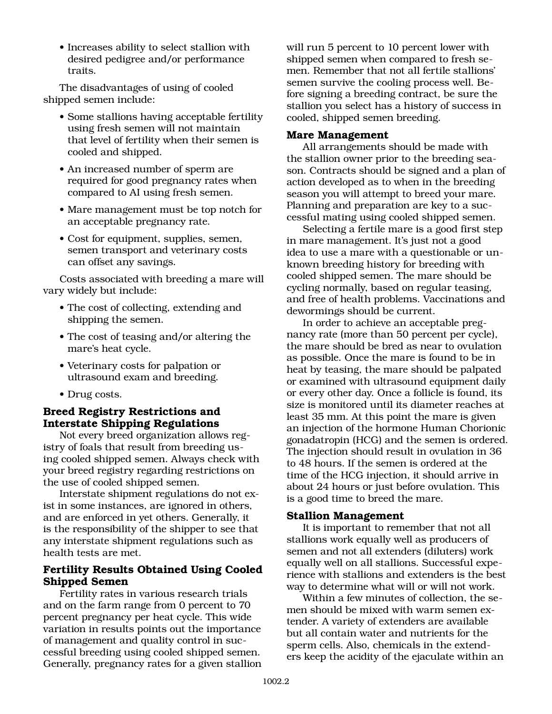• Increases ability to select stallion with desired pedigree and/or performance traits.

The disadvantages of using of cooled shipped semen include:

- Some stallions having acceptable fertility using fresh semen will not maintain that level of fertility when their semen is cooled and shipped.
- An increased number of sperm are required for good pregnancy rates when compared to AI using fresh semen.
- Mare management must be top notch for an acceptable pregnancy rate.
- Cost for equipment, supplies, semen, semen transport and veterinary costs can offset any savings.

Costs associated with breeding a mare will vary widely but include:

- The cost of collecting, extending and shipping the semen.
- The cost of teasing and/or altering the mare's heat cycle.
- Veterinary costs for palpation or ultrasound exam and breeding.
- Drug costs.

## **Breed Registry Restrictions and Interstate Shipping Regulations**

Not every breed organization allows registry of foals that result from breeding using cooled shipped semen. Always check with your breed registry regarding restrictions on the use of cooled shipped semen.

Interstate shipment regulations do not exist in some instances, are ignored in others, and are enforced in yet others. Generally, it is the responsibility of the shipper to see that any interstate shipment regulations such as health tests are met.

## **Fertility Results Obtained Using Cooled Shipped Semen**

Fertility rates in various research trials and on the farm range from 0 percent to 70 percent pregnancy per heat cycle. This wide variation in results points out the importance of management and quality control in successful breeding using cooled shipped semen. Generally, pregnancy rates for a given stallion will run 5 percent to 10 percent lower with shipped semen when compared to fresh semen. Remember that not all fertile stallions' semen survive the cooling process well. Before signing a breeding contract, be sure the stallion you select has a history of success in cooled, shipped semen breeding.

#### **Mare Management**

All arrangements should be made with the stallion owner prior to the breeding season. Contracts should be signed and a plan of action developed as to when in the breeding season you will attempt to breed your mare. Planning and preparation are key to a successful mating using cooled shipped semen.

Selecting a fertile mare is a good first step in mare management. It's just not a good idea to use a mare with a questionable or unknown breeding history for breeding with cooled shipped semen. The mare should be cycling normally, based on regular teasing, and free of health problems. Vaccinations and dewormings should be current.

In order to achieve an acceptable pregnancy rate (more than 50 percent per cycle), the mare should be bred as near to ovulation as possible. Once the mare is found to be in heat by teasing, the mare should be palpated or examined with ultrasound equipment daily or every other day. Once a follicle is found, its size is monitored until its diameter reaches at least 35 mm. At this point the mare is given an injection of the hormone Human Chorionic gonadatropin (HCG) and the semen is ordered. The injection should result in ovulation in 36 to 48 hours. If the semen is ordered at the time of the HCG injection, it should arrive in about 24 hours or just before ovulation. This is a good time to breed the mare.

#### **Stallion Management**

It is important to remember that not all stallions work equally well as producers of semen and not all extenders (diluters) work equally well on all stallions. Successful experience with stallions and extenders is the best way to determine what will or will not work.

Within a few minutes of collection, the semen should be mixed with warm semen extender. A variety of extenders are available but all contain water and nutrients for the sperm cells. Also, chemicals in the extenders keep the acidity of the ejaculate within an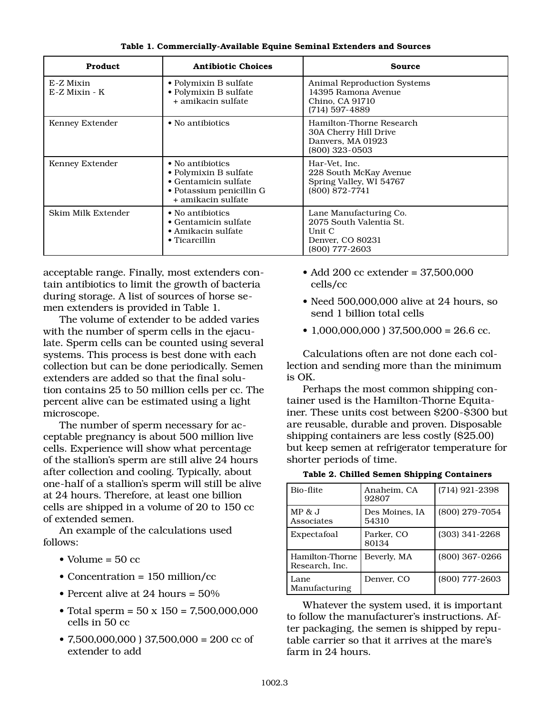| <b>Product</b>               | <b>Antibiotic Choices</b>                                                                                                   | <b>Source</b>                                                                                       |
|------------------------------|-----------------------------------------------------------------------------------------------------------------------------|-----------------------------------------------------------------------------------------------------|
| E-Z Mixin<br>$E-Z$ Mixin - K | • Polymixin B sulfate<br>• Polymixin B sulfate<br>+ amikacin sulfate                                                        | <b>Animal Reproduction Systems</b><br>14395 Ramona Avenue<br>Chino, CA 91710<br>$(714)$ 597-4889    |
| Kenney Extender              | • No antibiotics                                                                                                            | Hamilton-Thorne Research<br>30A Cherry Hill Drive<br>Danvers, MA 01923<br>(800) 323-0503            |
| Kenney Extender              | • No antibiotics<br>• Polymixin B sulfate<br>$\bullet$ Gentamicin sulfate<br>• Potassium penicillin G<br>+ amikacin sulfate | Har-Vet, Inc.<br>228 South McKay Avenue<br>Spring Valley, WI 54767<br>$(800) 872 - 7741$            |
| Skim Milk Extender           | • No antibiotics<br>$\bullet$ Gentamicin sulfate<br>$\bullet$ Amikacin sulfate<br>$\bullet$ Ticarcillin                     | Lane Manufacturing Co.<br>2075 South Valentia St.<br>Unit C<br>Denver, CO 80231<br>$(800)$ 777-2603 |

**Table 1. Commercially-Available Equine Seminal Extenders and Sources**

acceptable range. Finally, most extenders contain antibiotics to limit the growth of bacteria during storage. A list of sources of horse semen extenders is provided in Table 1.

The volume of extender to be added varies with the number of sperm cells in the ejaculate. Sperm cells can be counted using several systems. This process is best done with each collection but can be done periodically. Semen extenders are added so that the final solution contains 25 to 50 million cells per cc. The percent alive can be estimated using a light microscope.

The number of sperm necessary for acceptable pregnancy is about 500 million live cells. Experience will show what percentage of the stallion's sperm are still alive 24 hours after collection and cooling. Typically, about one-half of a stallion's sperm will still be alive at 24 hours. Therefore, at least one billion cells are shipped in a volume of 20 to 150 cc of extended semen.

An example of the calculations used follows:

- Volume  $=$  50 cc
- Concentration = 150 million/cc
- Percent alive at 24 hours = 50%
- Total sperm =  $50 \times 150 = 7,500,000,000$ cells in 50 cc
- 7,500,000,000 ) 37,500,000 = 200 cc of extender to add
- Add 200 cc extender = 37,500,000 cells/cc
- Need 500,000,000 alive at 24 hours, so send 1 billion total cells
- 1,000,000,000 ) 37,500,000 = 26.6 cc.

Calculations often are not done each collection and sending more than the minimum is OK.

Perhaps the most common shipping container used is the Hamilton-Thorne Equitainer. These units cost between \$200-\$300 but are reusable, durable and proven. Disposable shipping containers are less costly (\$25.00) but keep semen at refrigerator temperature for shorter periods of time.

**Table 2. Chilled Semen Shipping Containers**

| Bio-flite                         | Anaheim, CA<br>92807    | $(714)$ 921-2398 |
|-----------------------------------|-------------------------|------------------|
| $MP \& J$<br>Associates           | Des Moines, IA<br>54310 | (800) 279-7054   |
| Expectafoal                       | Parker, CO<br>80134     | $(303)$ 341-2268 |
| Hamilton-Thorne<br>Research, Inc. | Beverly, MA             | (800) 367-0266   |
| Lane<br>Manufacturing             | Denver, CO              | (800) 777-2603   |

Whatever the system used, it is important to follow the manufacturer's instructions. After packaging, the semen is shipped by reputable carrier so that it arrives at the mare's farm in 24 hours.